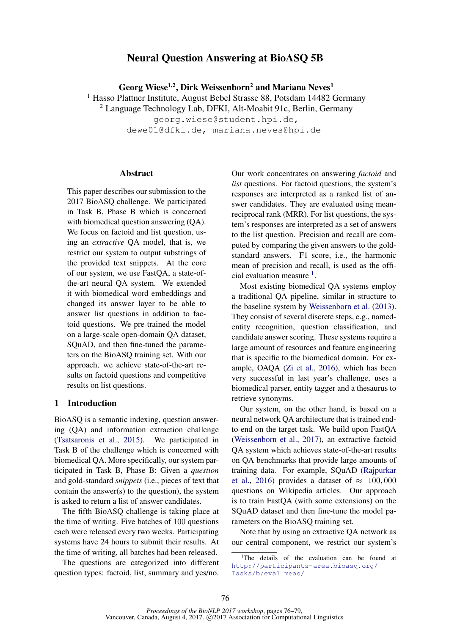# Neural Question Answering at BioASQ 5B

Georg Wiese<sup>1,2</sup>, Dirk Weissenborn<sup>2</sup> and Mariana Neves<sup>1</sup>

<sup>1</sup> Hasso Plattner Institute, August Bebel Strasse 88, Potsdam 14482 Germany

 $2$  Language Technology Lab, DFKI, Alt-Moabit 91c, Berlin, Germany

georg.wiese@student.hpi.de, dewe01@dfki.de, mariana.neves@hpi.de

## Abstract

This paper describes our submission to the 2017 BioASQ challenge. We participated in Task B, Phase B which is concerned with biomedical question answering (OA). We focus on factoid and list question, using an *extractive* QA model, that is, we restrict our system to output substrings of the provided text snippets. At the core of our system, we use FastQA, a state-ofthe-art neural QA system. We extended it with biomedical word embeddings and changed its answer layer to be able to answer list questions in addition to factoid questions. We pre-trained the model on a large-scale open-domain QA dataset, SQuAD, and then fine-tuned the parameters on the BioASQ training set. With our approach, we achieve state-of-the-art results on factoid questions and competitive results on list questions.

## 1 Introduction

BioASQ is a semantic indexing, question answering (QA) and information extraction challenge (Tsatsaronis et al., 2015). We participated in Task B of the challenge which is concerned with biomedical QA. More specifically, our system participated in Task B, Phase B: Given a *question* and gold-standard *snippets* (i.e., pieces of text that contain the answer(s) to the question), the system is asked to return a list of answer candidates.

The fifth BioASQ challenge is taking place at the time of writing. Five batches of 100 questions each were released every two weeks. Participating systems have 24 hours to submit their results. At the time of writing, all batches had been released.

The questions are categorized into different question types: factoid, list, summary and yes/no. Our work concentrates on answering *factoid* and *list* questions. For factoid questions, the system's responses are interpreted as a ranked list of answer candidates. They are evaluated using meanreciprocal rank (MRR). For list questions, the system's responses are interpreted as a set of answers to the list question. Precision and recall are computed by comparing the given answers to the goldstandard answers. F1 score, i.e., the harmonic mean of precision and recall, is used as the official evaluation measure <sup>1</sup>.

Most existing biomedical QA systems employ a traditional QA pipeline, similar in structure to the baseline system by Weissenborn et al. (2013). They consist of several discrete steps, e.g., namedentity recognition, question classification, and candidate answer scoring. These systems require a large amount of resources and feature engineering that is specific to the biomedical domain. For example, OAQA (Zi et al., 2016), which has been very successful in last year's challenge, uses a biomedical parser, entity tagger and a thesaurus to retrieve synonyms.

Our system, on the other hand, is based on a neural network QA architecture that is trained endto-end on the target task. We build upon FastQA (Weissenborn et al., 2017), an extractive factoid QA system which achieves state-of-the-art results on QA benchmarks that provide large amounts of training data. For example, SQuAD (Rajpurkar et al., 2016) provides a dataset of  $\approx 100,000$ questions on Wikipedia articles. Our approach is to train FastQA (with some extensions) on the SQuAD dataset and then fine-tune the model parameters on the BioASQ training set.

Note that by using an extractive QA network as our central component, we restrict our system's

<sup>&</sup>lt;sup>1</sup>The details of the evaluation can be found at http://participants-area.bioasq.org/ Tasks/b/eval\_meas/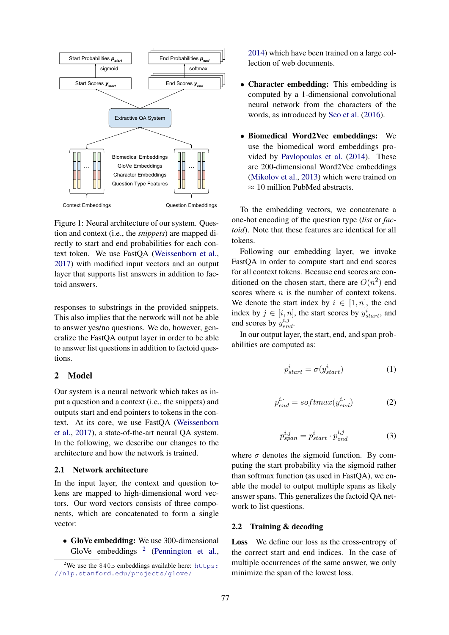

Figure 1: Neural architecture of our system. Question and context (i.e., the *snippets*) are mapped directly to start and end probabilities for each context token. We use FastQA (Weissenborn et al., 2017) with modified input vectors and an output layer that supports list answers in addition to factoid answers.

responses to substrings in the provided snippets. This also implies that the network will not be able to answer yes/no questions. We do, however, generalize the FastQA output layer in order to be able to answer list questions in addition to factoid questions.

## 2 Model

Our system is a neural network which takes as input a question and a context (i.e., the snippets) and outputs start and end pointers to tokens in the context. At its core, we use FastQA (Weissenborn et al., 2017), a state-of-the-art neural QA system. In the following, we describe our changes to the architecture and how the network is trained.

#### 2.1 Network architecture

In the input layer, the context and question tokens are mapped to high-dimensional word vectors. Our word vectors consists of three components, which are concatenated to form a single vector:

• GloVe embedding: We use 300-dimensional GloVe embeddings  $2$  (Pennington et al.,

2014) which have been trained on a large collection of web documents.

- Character embedding: This embedding is computed by a 1-dimensional convolutional neural network from the characters of the words, as introduced by Seo et al. (2016).
- Biomedical Word2Vec embeddings: We use the biomedical word embeddings provided by Pavlopoulos et al. (2014). These are 200-dimensional Word2Vec embeddings (Mikolov et al., 2013) which were trained on  $\approx 10$  million PubMed abstracts.

To the embedding vectors, we concatenate a one-hot encoding of the question type (*list* or *factoid*). Note that these features are identical for all tokens.

Following our embedding layer, we invoke FastQA in order to compute start and end scores for all context tokens. Because end scores are conditioned on the chosen start, there are  $O(n^2)$  end scores where  $n$  is the number of context tokens. We denote the start index by  $i \in [1, n]$ , the end index by  $j \in [i, n]$ , the start scores by  $y_{start}^i$ , and end scores by  $y_{end}^{i,j}$ .

In our output layer, the start, end, and span probabilities are computed as:

$$
p_{start}^i = \sigma(y_{start}^i)
$$
 (1)

$$
p_{end}^{i,\cdot} = softmax(y_{end}^{i,\cdot})
$$
 (2)

$$
p_{span}^{i,j} = p_{start}^i \cdot p_{end}^{i,j} \tag{3}
$$

where  $\sigma$  denotes the sigmoid function. By computing the start probability via the sigmoid rather than softmax function (as used in FastQA), we enable the model to output multiple spans as likely answer spans. This generalizes the factoid QA network to list questions.

### 2.2 Training & decoding

Loss We define our loss as the cross-entropy of the correct start and end indices. In the case of multiple occurrences of the same answer, we only minimize the span of the lowest loss.

<sup>&</sup>lt;sup>2</sup>We use the 840B embeddings available here: https: //nlp.stanford.edu/projects/glove/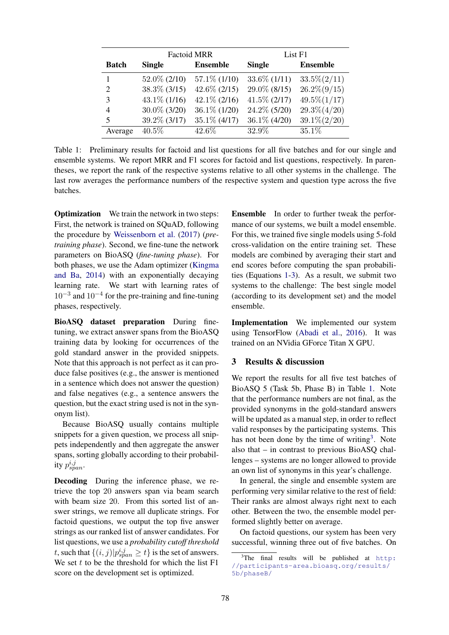|                | <b>Factoid MRR</b> |                 | List F1         |                 |
|----------------|--------------------|-----------------|-----------------|-----------------|
| <b>Batch</b>   | <b>Single</b>      | <b>Ensemble</b> | <b>Single</b>   | <b>Ensemble</b> |
|                | $52.0\%$ (2/10)    | $57.1\%$ (1/10) | $33.6\%$ (1/11) | $33.5\%(2/11)$  |
| $\overline{2}$ | $38.3\%$ (3/15)    | $42.6\%$ (2/15) | 29.0\% (8/15)   | $26.2\%(9/15)$  |
| 3              | $43.1\%$ (1/16)    | $42.1\%$ (2/16) | $41.5\%$ (2/17) | $49.5\%(1/17)$  |
| 4              | 30.0% (3/20)       | $36.1\%$ (1/20) | 24.2\% (5/20)   | $29.3\%(4/20)$  |
| 5              | 39.2\% (3/17)      | $35.1\%$ (4/17) | 36.1\% (4/20)   | $39.1\% (2/20)$ |
| Average        | $40.5\%$           | 42.6%           | 32.9%           | 35.1%           |

Table 1: Preliminary results for factoid and list questions for all five batches and for our single and ensemble systems. We report MRR and F1 scores for factoid and list questions, respectively. In parentheses, we report the rank of the respective systems relative to all other systems in the challenge. The last row averages the performance numbers of the respective system and question type across the five batches.

**Optimization** We train the network in two steps: First, the network is trained on SQuAD, following the procedure by Weissenborn et al. (2017) (*pretraining phase*). Second, we fine-tune the network parameters on BioASQ (*fine-tuning phase*). For both phases, we use the Adam optimizer (Kingma and Ba, 2014) with an exponentially decaying learning rate. We start with learning rates of  $10^{-3}$  and  $10^{-4}$  for the pre-training and fine-tuning phases, respectively.

BioASQ dataset preparation During finetuning, we extract answer spans from the BioASQ training data by looking for occurrences of the gold standard answer in the provided snippets. Note that this approach is not perfect as it can produce false positives (e.g., the answer is mentioned in a sentence which does not answer the question) and false negatives (e.g., a sentence answers the question, but the exact string used is not in the synonym list).

Because BioASQ usually contains multiple snippets for a given question, we process all snippets independently and then aggregate the answer spans, sorting globally according to their probability  $p_{span}^{i,j}$ .

Decoding During the inference phase, we retrieve the top 20 answers span via beam search with beam size 20. From this sorted list of answer strings, we remove all duplicate strings. For factoid questions, we output the top five answer strings as our ranked list of answer candidates. For list questions, we use a *probability cutoff threshold* t, such that  $\{(i, j)|p_{span}^{i,j} \ge t\}$  is the set of answers. We set  $t$  to be the threshold for which the list  $F1$ score on the development set is optimized.

Ensemble In order to further tweak the performance of our systems, we built a model ensemble. For this, we trained five single models using 5-fold cross-validation on the entire training set. These models are combined by averaging their start and end scores before computing the span probabilities (Equations 1-3). As a result, we submit two systems to the challenge: The best single model (according to its development set) and the model ensemble.

Implementation We implemented our system using TensorFlow (Abadi et al., 2016). It was trained on an NVidia GForce Titan X GPU.

## 3 Results & discussion

We report the results for all five test batches of BioASQ 5 (Task 5b, Phase B) in Table 1. Note that the performance numbers are not final, as the provided synonyms in the gold-standard answers will be updated as a manual step, in order to reflect valid responses by the participating systems. This has not been done by the time of writing<sup>3</sup>. Note also that – in contrast to previous BioASQ challenges – systems are no longer allowed to provide an own list of synonyms in this year's challenge.

In general, the single and ensemble system are performing very similar relative to the rest of field: Their ranks are almost always right next to each other. Between the two, the ensemble model performed slightly better on average.

On factoid questions, our system has been very successful, winning three out of five batches. On

 $3$ The final results will be published at http: //participants-area.bioasq.org/results/ 5b/phaseB/